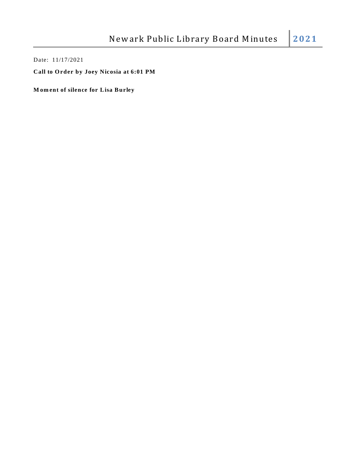Date: 11/17/2021

**Call to O rder by Joey Nicosia at 6:01 PM**

**M om ent of silence for Lisa Burley**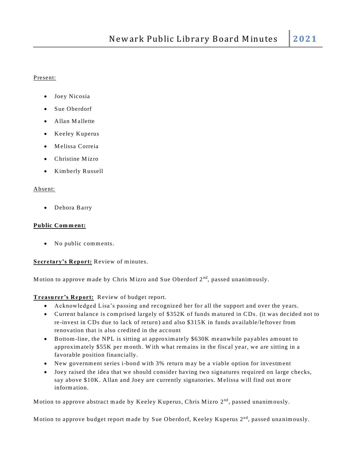### Present:

- Joey Nicosia
- Sue Oberdorf
- Allan Mallette
- Keeley Kuperus
- M elissa Correia
- Christine Mizro
- Kimberly Russell

### Absent:

Debora Barry

### **Public Com m ent:**

• No public comments.

# Secretary's Report: Review of minutes.

Motion to approve made by Chris Mizro and Sue Oberdorf 2<sup>nd</sup>, passed unanimously.

**Treasurer's Report:** Review of budget report.

- Acknowledged Lisa's passing and recognized her for all the support and over the years.
- Current balance is comprised largely of \$352K of funds matured in CDs. (it was decided not to re-invest in CDs due to lack of return ) and also \$315K in funds available/leftover from renovation that is also credited in the account
- Bottom-line, the NPL is sitting at approximately \$630K meanwhile payables amount to approxim ately \$55K per m onth. W ith what rem ains in the fiscal year, we are sitting in a favorable position financially.
- New government series i-bond with 3% return may be a viable option for investment
- Joey raised the idea that we should consider having two signatures required on large checks, say above \$10K. Allan and Joey are currently signatories. M elissa will find out m ore inform ation.

Motion to approve abstract made by Keeley Kuperus, Chris Mizro 2<sup>nd</sup>, passed unanimously.

Motion to approve budget report made by Sue Oberdorf, Keeley Kuperus 2<sup>nd</sup>, passed unanimously.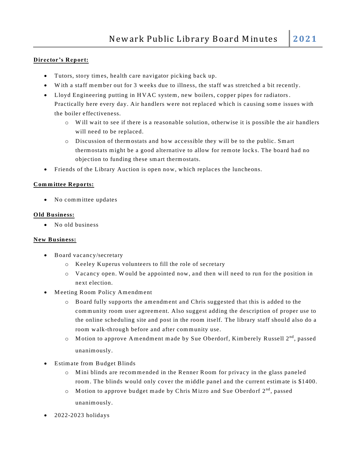# **Director's Report:**

- Tutors, story tim es, health care navigator picking back up.
- W ith a staff m em ber out for 3 weeks due to illness, the staff was stretched a bit recently.
- Lloyd Engineering putting in HVAC system, new boilers, copper pipes for radiators. Practically here every day. Air handlers were not replaced which is causing some issues with the boiler effectiveness.
	- o W ill wait to see if there is a reasonable solution, otherwise it is possible the air handlers will need to be replaced.
	- o Discussion of therm ostats and how accessible they will be to the public. Sm art therm ostats m ight be a good alternative to allow for rem ote lock s. The board had no objection to funding these sm art therm ostats.
- Friends of the Library Auction is open now, w hich replaces the luncheons.

# **Com m ittee Reports:**

• No committee updates

# **O ld Business:**

• No old business

# **New Business:**

- Board vacancy/secretary
	- o Keeley Kuperus volunteers to fill the role of secretary
	- o Vacancy open. W ould be appointed now, and then will need to run for the position in next election.
- Meeting Room Policy Amendment
	- Board fully supports the amendment and Chris suggested that this is added to the community room user agreement. Also suggest adding the description of proper use to the online scheduling site and post in the room itself. The library staff should also do a room walk-through before and after community use.
	- $\circ$  Motion to approve Amendment made by Sue Oberdorf, Kimberely Russell 2<sup>nd</sup>, passed unanim ously.
- Estim ate from Budget Blinds
	- $\circ$  M ini blinds are recommended in the Renner Room for privacy in the glass paneled room. The blinds would only cover the middle panel and the current estimate is \$1400.
	- $\circ$  Motion to approve budget made by Chris Mizro and Sue Oberdorf  $2^{nd}$ , passed unanim ously.
- 2022-2023 holidays